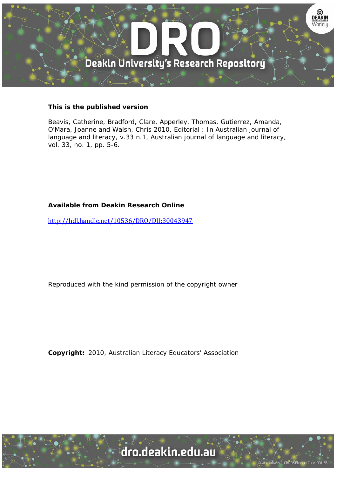

## **This is the published version**

Beavis, Catherine, Bradford, Clare, Apperley, Thomas, Gutierrez, Amanda, O'Mara, Joanne and Walsh, Chris 2010, Editorial : In Australian journal of language and literacy, v.33 n.1, Australian journal of language and literacy, vol. 33, no. 1, pp. 5-6.

## **Available from Deakin Research Online**

http://hdl.handle.net/10536/DRO/DU:30043947

Reproduced with the kind permission of the copyright owner

**Copyright:** 2010, Australian Literacy Educators' Association

University CRICOS Provider Code: 00113B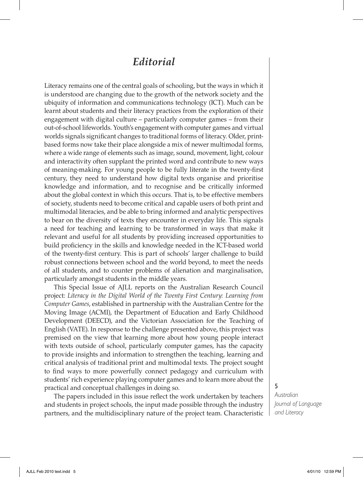## *Editorial*

Literacy remains one of the central goals of schooling, but the ways in which it is understood are changing due to the growth of the network society and the ubiquity of information and communications technology (ICT). Much can be learnt about students and their literacy practices from the exploration of their engagement with digital culture – particularly computer games – from their out-of-school lifeworlds. Youth's engagement with computer games and virtual worlds signals significant changes to traditional forms of literacy. Older, printbased forms now take their place alongside a mix of newer multimodal forms, where a wide range of elements such as image, sound, movement, light, colour and interactivity often supplant the printed word and contribute to new ways of meaning-making. For young people to be fully literate in the twenty-first century, they need to understand how digital texts organise and prioritise knowledge and information, and to recognise and be critically informed about the global context in which this occurs. That is, to be effective members of society, students need to become critical and capable users of both print and multimodal literacies, and be able to bring informed and analytic perspectives to bear on the diversity of texts they encounter in everyday life. This signals a need for teaching and learning to be transformed in ways that make it relevant and useful for all students by providing increased opportunities to build proficiency in the skills and knowledge needed in the ICT-based world of the twenty-first century. This is part of schools' larger challenge to build robust connections between school and the world beyond, to meet the needs of all students, and to counter problems of alienation and marginalisation, particularly amongst students in the middle years.

This Special Issue of AJLL reports on the Australian Research Council project: *Literacy in the Digital World of the Twenty First Century: Learning from Computer Games*, established in partnership with the Australian Centre for the Moving Image (ACMI), the Department of Education and Early Childhood Development (DEECD), and the Victorian Association for the Teaching of English (VATE). In response to the challenge presented above, this project was premised on the view that learning more about how young people interact with texts outside of school, particularly computer games, has the capacity to provide insights and information to strengthen the teaching, learning and critical analysis of traditional print and multimodal texts. The project sought to find ways to more powerfully connect pedagogy and curriculum with students' rich experience playing computer games and to learn more about the practical and conceptual challenges in doing so.

The papers included in this issue reflect the work undertaken by teachers and students in project schools, the input made possible through the industry partners, and the multidisciplinary nature of the project team. Characteristic 5

*Australian Journal of Language and Literacy*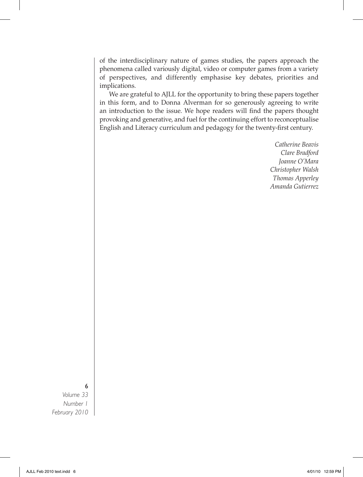of the interdisciplinary nature of games studies, the papers approach the phenomena called variously digital, video or computer games from a variety of perspectives, and differently emphasise key debates, priorities and implications.

We are grateful to AJLL for the opportunity to bring these papers together in this form, and to Donna Alverman for so generously agreeing to write an introduction to the issue. We hope readers will find the papers thought provoking and generative, and fuel for the continuing effort to reconceptualise English and Literacy curriculum and pedagogy for the twenty-first century.

> *Catherine Beavis Clare Bradford Joanne O'Mara Christopher Walsh Thomas Apperley Amanda Gutierrez*

6

*Volume 33 Number 1 February 2010*